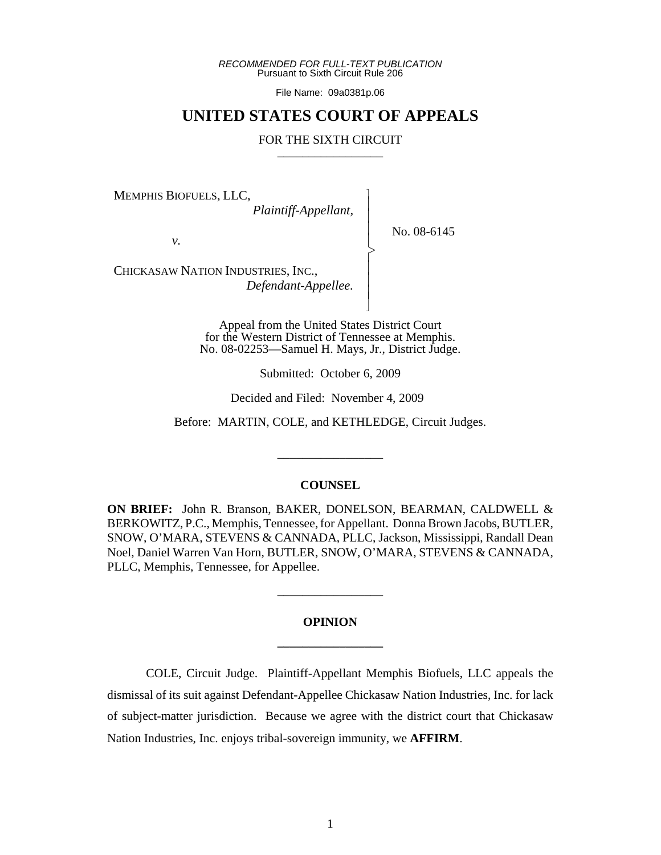*RECOMMENDED FOR FULL-TEXT PUBLICATION* Pursuant to Sixth Circuit Rule 206

File Name: 09a0381p.06

# **UNITED STATES COURT OF APPEALS**

## FOR THE SIXTH CIRCUIT

 $\overline{\phantom{a}}$ - - - > , - - - N

MEMPHIS BIOFUELS, LLC,

 *Plaintiff-Appellant,*

No. 08-6145

*v.*

CHICKASAW NATION INDUSTRIES, INC., *Defendant-Appellee.*

> Appeal from the United States District Court for the Western District of Tennessee at Memphis. No. 08-02253—Samuel H. Mays, Jr., District Judge.

> > Submitted: October 6, 2009

Decided and Filed: November 4, 2009

Before: MARTIN, COLE, and KETHLEDGE, Circuit Judges.

\_\_\_\_\_\_\_\_\_\_\_\_\_\_\_\_\_

#### **COUNSEL**

**ON BRIEF:** John R. Branson, BAKER, DONELSON, BEARMAN, CALDWELL & BERKOWITZ, P.C., Memphis, Tennessee, for Appellant. Donna Brown Jacobs, BUTLER, SNOW, O'MARA, STEVENS & CANNADA, PLLC, Jackson, Mississippi, Randall Dean Noel, Daniel Warren Van Horn, BUTLER, SNOW, O'MARA, STEVENS & CANNADA, PLLC, Memphis, Tennessee, for Appellee.

# **OPINION \_\_\_\_\_\_\_\_\_\_\_\_\_\_\_\_\_**

**\_\_\_\_\_\_\_\_\_\_\_\_\_\_\_\_\_**

COLE, Circuit Judge. Plaintiff-Appellant Memphis Biofuels, LLC appeals the dismissal of its suit against Defendant-Appellee Chickasaw Nation Industries, Inc. for lack of subject-matter jurisdiction. Because we agree with the district court that Chickasaw Nation Industries, Inc. enjoys tribal-sovereign immunity, we **AFFIRM**.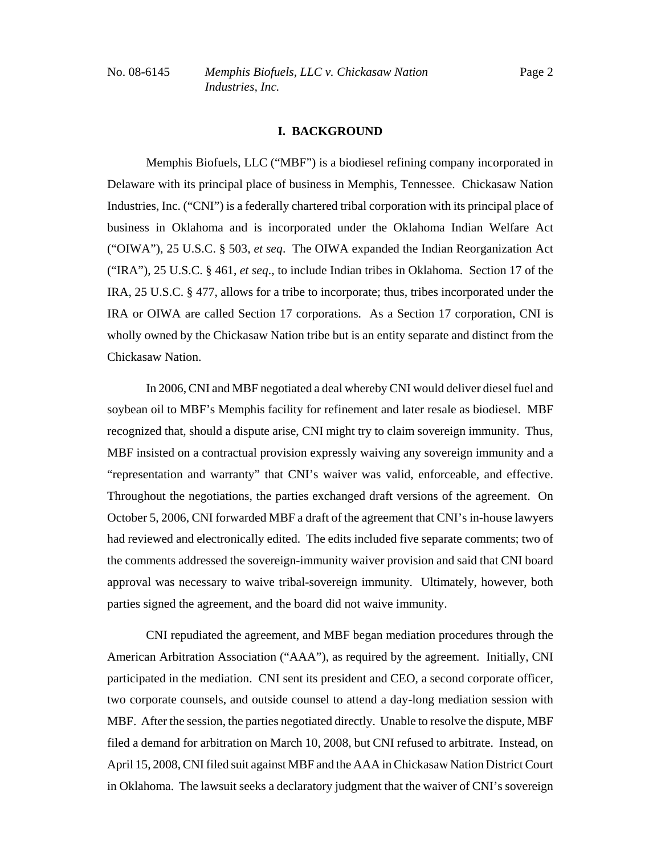# **I. BACKGROUND**

Memphis Biofuels, LLC ("MBF") is a biodiesel refining company incorporated in Delaware with its principal place of business in Memphis, Tennessee. Chickasaw Nation Industries, Inc. ("CNI") is a federally chartered tribal corporation with its principal place of business in Oklahoma and is incorporated under the Oklahoma Indian Welfare Act ("OIWA"), 25 U.S.C. § 503, *et seq*. The OIWA expanded the Indian Reorganization Act ("IRA"), 25 U.S.C. § 461, *et seq*., to include Indian tribes in Oklahoma. Section 17 of the IRA, 25 U.S.C. § 477, allows for a tribe to incorporate; thus, tribes incorporated under the IRA or OIWA are called Section 17 corporations. As a Section 17 corporation, CNI is wholly owned by the Chickasaw Nation tribe but is an entity separate and distinct from the Chickasaw Nation.

In 2006, CNI and MBF negotiated a deal whereby CNI would deliver diesel fuel and soybean oil to MBF's Memphis facility for refinement and later resale as biodiesel. MBF recognized that, should a dispute arise, CNI might try to claim sovereign immunity. Thus, MBF insisted on a contractual provision expressly waiving any sovereign immunity and a "representation and warranty" that CNI's waiver was valid, enforceable, and effective. Throughout the negotiations, the parties exchanged draft versions of the agreement. On October 5, 2006, CNI forwarded MBF a draft of the agreement that CNI's in-house lawyers had reviewed and electronically edited. The edits included five separate comments; two of the comments addressed the sovereign-immunity waiver provision and said that CNI board approval was necessary to waive tribal-sovereign immunity. Ultimately, however, both parties signed the agreement, and the board did not waive immunity.

CNI repudiated the agreement, and MBF began mediation procedures through the American Arbitration Association ("AAA"), as required by the agreement. Initially, CNI participated in the mediation. CNI sent its president and CEO, a second corporate officer, two corporate counsels, and outside counsel to attend a day-long mediation session with MBF. After the session, the parties negotiated directly. Unable to resolve the dispute, MBF filed a demand for arbitration on March 10, 2008, but CNI refused to arbitrate. Instead, on April 15, 2008, CNI filed suit against MBF and the AAA in Chickasaw Nation District Court in Oklahoma. The lawsuit seeks a declaratory judgment that the waiver of CNI's sovereign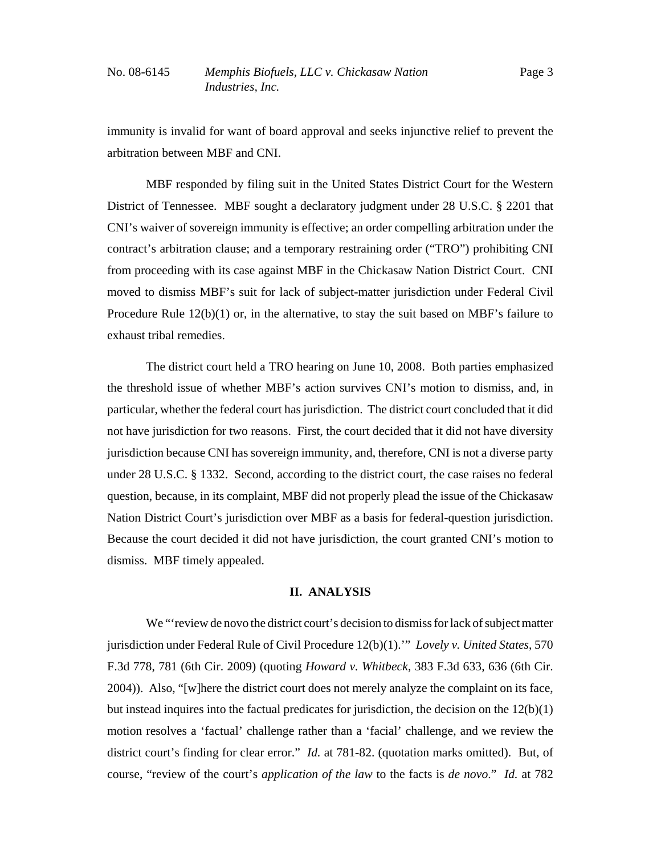immunity is invalid for want of board approval and seeks injunctive relief to prevent the arbitration between MBF and CNI.

MBF responded by filing suit in the United States District Court for the Western District of Tennessee. MBF sought a declaratory judgment under 28 U.S.C. § 2201 that CNI's waiver of sovereign immunity is effective; an order compelling arbitration under the contract's arbitration clause; and a temporary restraining order ("TRO") prohibiting CNI from proceeding with its case against MBF in the Chickasaw Nation District Court. CNI moved to dismiss MBF's suit for lack of subject-matter jurisdiction under Federal Civil Procedure Rule  $12(b)(1)$  or, in the alternative, to stay the suit based on MBF's failure to exhaust tribal remedies.

The district court held a TRO hearing on June 10, 2008. Both parties emphasized the threshold issue of whether MBF's action survives CNI's motion to dismiss, and, in particular, whether the federal court has jurisdiction. The district court concluded that it did not have jurisdiction for two reasons. First, the court decided that it did not have diversity jurisdiction because CNI has sovereign immunity, and, therefore, CNI is not a diverse party under 28 U.S.C. § 1332. Second, according to the district court, the case raises no federal question, because, in its complaint, MBF did not properly plead the issue of the Chickasaw Nation District Court's jurisdiction over MBF as a basis for federal-question jurisdiction. Because the court decided it did not have jurisdiction, the court granted CNI's motion to dismiss. MBF timely appealed.

#### **II. ANALYSIS**

We "'review de novo the district court's decision to dismiss for lack of subject matter jurisdiction under Federal Rule of Civil Procedure 12(b)(1).'" *Lovely v. United States*, 570 F.3d 778, 781 (6th Cir. 2009) (quoting *Howard v. Whitbeck*, 383 F.3d 633, 636 (6th Cir. 2004)). Also, "[w]here the district court does not merely analyze the complaint on its face, but instead inquires into the factual predicates for jurisdiction, the decision on the  $12(b)(1)$ motion resolves a 'factual' challenge rather than a 'facial' challenge, and we review the district court's finding for clear error." *Id.* at 781-82. (quotation marks omitted). But, of course, "review of the court's *application of the law* to the facts is *de novo*." *Id.* at 782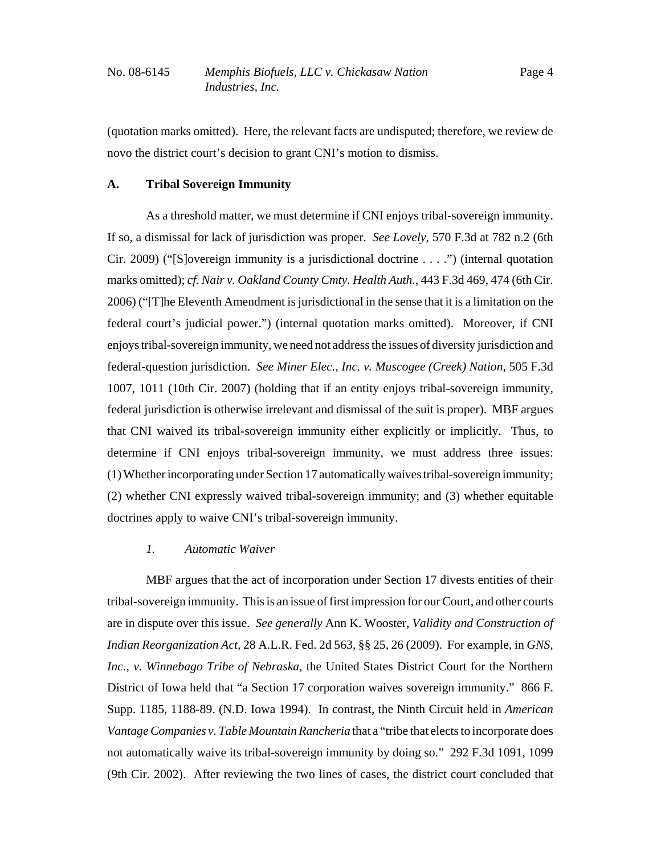(quotation marks omitted). Here, the relevant facts are undisputed; therefore, we review de novo the district court's decision to grant CNI's motion to dismiss.

# **A. Tribal Sovereign Immunity**

As a threshold matter, we must determine if CNI enjoys tribal-sovereign immunity. If so, a dismissal for lack of jurisdiction was proper. *See Lovely*, 570 F.3d at 782 n.2 (6th Cir. 2009) ("[S]overeign immunity is a jurisdictional doctrine  $\dots$ ") (internal quotation marks omitted); *cf. Nair v. Oakland County Cmty. Health Auth.*, 443 F.3d 469, 474 (6th Cir. 2006) ("[T]he Eleventh Amendment is jurisdictional in the sense that it is a limitation on the federal court's judicial power.") (internal quotation marks omitted). Moreover, if CNI enjoys tribal-sovereign immunity, we need not address the issues of diversity jurisdiction and federal-question jurisdiction. *See Miner Elec., Inc. v. Muscogee (Creek) Nation*, 505 F.3d 1007, 1011 (10th Cir. 2007) (holding that if an entity enjoys tribal-sovereign immunity, federal jurisdiction is otherwise irrelevant and dismissal of the suit is proper). MBF argues that CNI waived its tribal-sovereign immunity either explicitly or implicitly. Thus, to determine if CNI enjoys tribal-sovereign immunity, we must address three issues: (1) Whether incorporating under Section 17 automatically waives tribal-sovereign immunity; (2) whether CNI expressly waived tribal-sovereign immunity; and (3) whether equitable doctrines apply to waive CNI's tribal-sovereign immunity.

### *1. Automatic Waiver*

MBF argues that the act of incorporation under Section 17 divests entities of their tribal-sovereign immunity. This is an issue of first impression for our Court, and other courts are in dispute over this issue. *See generally* Ann K. Wooster, *Validity and Construction of Indian Reorganization Act*, 28 A.L.R. Fed. 2d 563, §§ 25, 26 (2009). For example, in *GNS, Inc., v. Winnebago Tribe of Nebraska*, the United States District Court for the Northern District of Iowa held that "a Section 17 corporation waives sovereign immunity." 866 F. Supp. 1185, 1188-89. (N.D. Iowa 1994). In contrast, the Ninth Circuit held in *American Vantage Companies v. Table Mountain Rancheria* that a "tribe that elects to incorporate does not automatically waive its tribal-sovereign immunity by doing so." 292 F.3d 1091, 1099 (9th Cir. 2002). After reviewing the two lines of cases, the district court concluded that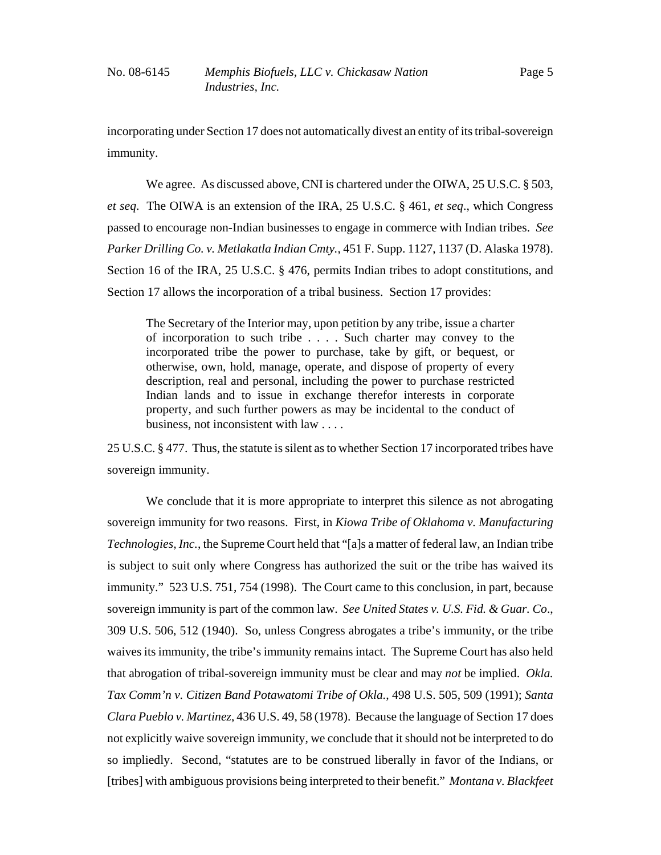incorporating under Section 17 does not automatically divest an entity of its tribal-sovereign immunity.

We agree. As discussed above, CNI is chartered under the OIWA, 25 U.S.C. § 503, *et seq*. The OIWA is an extension of the IRA, 25 U.S.C. § 461, *et seq*., which Congress passed to encourage non-Indian businesses to engage in commerce with Indian tribes. *See Parker Drilling Co. v. Metlakatla Indian Cmty.*, 451 F. Supp. 1127, 1137 (D. Alaska 1978). Section 16 of the IRA, 25 U.S.C. § 476, permits Indian tribes to adopt constitutions, and Section 17 allows the incorporation of a tribal business. Section 17 provides:

The Secretary of the Interior may, upon petition by any tribe, issue a charter of incorporation to such tribe . . . . Such charter may convey to the incorporated tribe the power to purchase, take by gift, or bequest, or otherwise, own, hold, manage, operate, and dispose of property of every description, real and personal, including the power to purchase restricted Indian lands and to issue in exchange therefor interests in corporate property, and such further powers as may be incidental to the conduct of business, not inconsistent with law . . . .

25 U.S.C. § 477. Thus, the statute is silent as to whether Section 17 incorporated tribes have sovereign immunity.

We conclude that it is more appropriate to interpret this silence as not abrogating sovereign immunity for two reasons. First, in *Kiowa Tribe of Oklahoma v. Manufacturing Technologies, Inc.*, the Supreme Court held that "[a]s a matter of federal law, an Indian tribe is subject to suit only where Congress has authorized the suit or the tribe has waived its immunity." 523 U.S. 751, 754 (1998). The Court came to this conclusion, in part, because sovereign immunity is part of the common law. *See United States v. U.S. Fid. & Guar. Co*., 309 U.S. 506, 512 (1940). So, unless Congress abrogates a tribe's immunity, or the tribe waives its immunity, the tribe's immunity remains intact. The Supreme Court has also held that abrogation of tribal-sovereign immunity must be clear and may *not* be implied. *Okla. Tax Comm'n v. Citizen Band Potawatomi Tribe of Okla.*, 498 U.S. 505, 509 (1991); *Santa Clara Pueblo v. Martinez*, 436 U.S. 49, 58 (1978). Because the language of Section 17 does not explicitly waive sovereign immunity, we conclude that it should not be interpreted to do so impliedly. Second, "statutes are to be construed liberally in favor of the Indians, or [tribes] with ambiguous provisions being interpreted to their benefit." *Montana v. Blackfeet*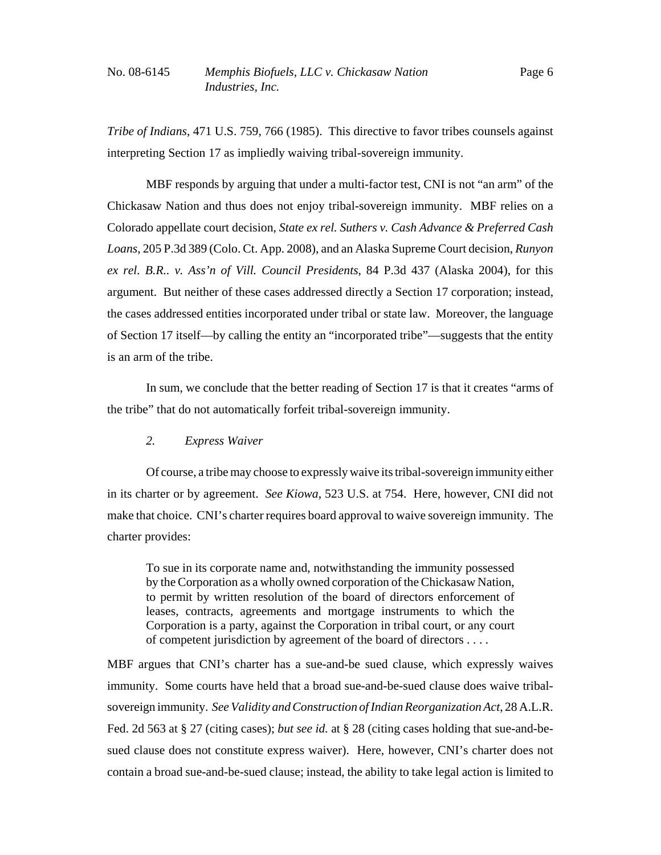*Tribe of Indians*, 471 U.S. 759, 766 (1985). This directive to favor tribes counsels against interpreting Section 17 as impliedly waiving tribal-sovereign immunity.

MBF responds by arguing that under a multi-factor test, CNI is not "an arm" of the Chickasaw Nation and thus does not enjoy tribal-sovereign immunity. MBF relies on a Colorado appellate court decision, *State ex rel. Suthers v. Cash Advance & Preferred Cash Loans*, 205 P.3d 389 (Colo. Ct. App. 2008), and an Alaska Supreme Court decision, *Runyon ex rel. B.R.. v. Ass'n of Vill. Council Presidents*, 84 P.3d 437 (Alaska 2004), for this argument. But neither of these cases addressed directly a Section 17 corporation; instead, the cases addressed entities incorporated under tribal or state law. Moreover, the language of Section 17 itself––by calling the entity an "incorporated tribe"––suggests that the entity is an arm of the tribe.

In sum, we conclude that the better reading of Section 17 is that it creates "arms of the tribe" that do not automatically forfeit tribal-sovereign immunity.

# *2. Express Waiver*

Of course, a tribe may choose to expressly waive its tribal-sovereign immunity either in its charter or by agreement. *See Kiowa*, 523 U.S. at 754. Here, however, CNI did not make that choice. CNI's charter requires board approval to waive sovereign immunity. The charter provides:

To sue in its corporate name and, notwithstanding the immunity possessed by the Corporation as a wholly owned corporation of the Chickasaw Nation, to permit by written resolution of the board of directors enforcement of leases, contracts, agreements and mortgage instruments to which the Corporation is a party, against the Corporation in tribal court, or any court of competent jurisdiction by agreement of the board of directors . . . .

MBF argues that CNI's charter has a sue-and-be sued clause, which expressly waives immunity. Some courts have held that a broad sue-and-be-sued clause does waive tribalsovereign immunity. *See Validity and Construction of Indian Reorganization Act*, 28 A.L.R. Fed. 2d 563 at § 27 (citing cases); *but see id.* at § 28 (citing cases holding that sue-and-besued clause does not constitute express waiver). Here, however, CNI's charter does not contain a broad sue-and-be-sued clause; instead, the ability to take legal action is limited to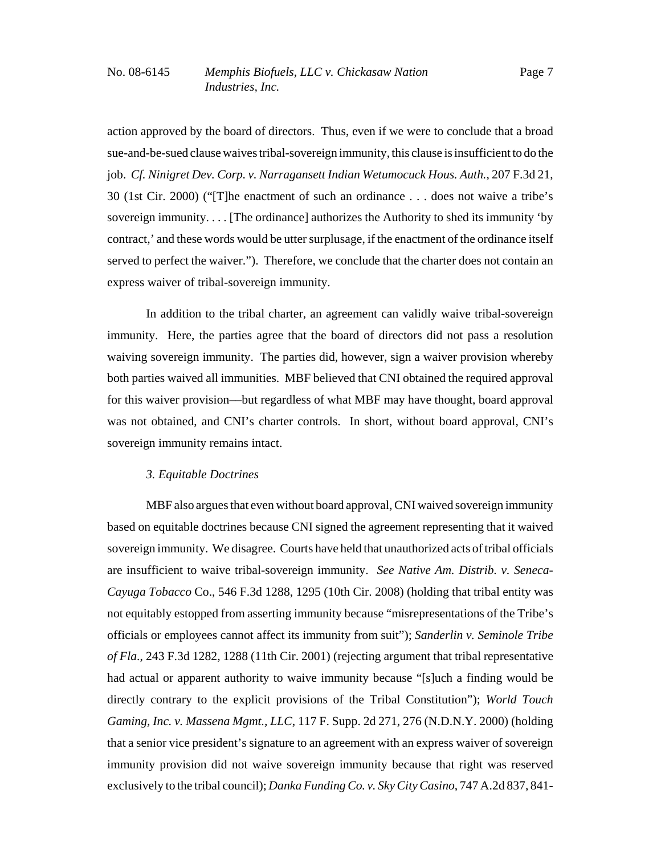action approved by the board of directors. Thus, even if we were to conclude that a broad sue-and-be-sued clause waives tribal-sovereign immunity, this clause is insufficient to do the job. *Cf. Ninigret Dev. Corp. v. Narragansett Indian Wetumocuck Hous. Auth.*, 207 F.3d 21, 30 (1st Cir. 2000) ("[T]he enactment of such an ordinance . . . does not waive a tribe's sovereign immunity. . . . [The ordinance] authorizes the Authority to shed its immunity 'by contract,' and these words would be utter surplusage, if the enactment of the ordinance itself served to perfect the waiver."). Therefore, we conclude that the charter does not contain an express waiver of tribal-sovereign immunity.

In addition to the tribal charter, an agreement can validly waive tribal-sovereign immunity. Here, the parties agree that the board of directors did not pass a resolution waiving sovereign immunity. The parties did, however, sign a waiver provision whereby both parties waived all immunities. MBF believed that CNI obtained the required approval for this waiver provision––but regardless of what MBF may have thought, board approval was not obtained, and CNI's charter controls. In short, without board approval, CNI's sovereign immunity remains intact.

# *3. Equitable Doctrines*

MBF also argues that even without board approval, CNI waived sovereign immunity based on equitable doctrines because CNI signed the agreement representing that it waived sovereign immunity. We disagree. Courts have held that unauthorized acts of tribal officials are insufficient to waive tribal-sovereign immunity. *See Native Am. Distrib. v. Seneca-Cayuga Tobacco* Co., 546 F.3d 1288, 1295 (10th Cir. 2008) (holding that tribal entity was not equitably estopped from asserting immunity because "misrepresentations of the Tribe's officials or employees cannot affect its immunity from suit"); *Sanderlin v. Seminole Tribe of Fla*., 243 F.3d 1282, 1288 (11th Cir. 2001) (rejecting argument that tribal representative had actual or apparent authority to waive immunity because "[s]uch a finding would be directly contrary to the explicit provisions of the Tribal Constitution"); *World Touch Gaming, Inc. v. Massena Mgmt., LLC*, 117 F. Supp. 2d 271, 276 (N.D.N.Y. 2000) (holding that a senior vice president's signature to an agreement with an express waiver of sovereign immunity provision did not waive sovereign immunity because that right was reserved exclusively to the tribal council); *Danka Funding Co. v. Sky City Casino*, 747 A.2d 837, 841-